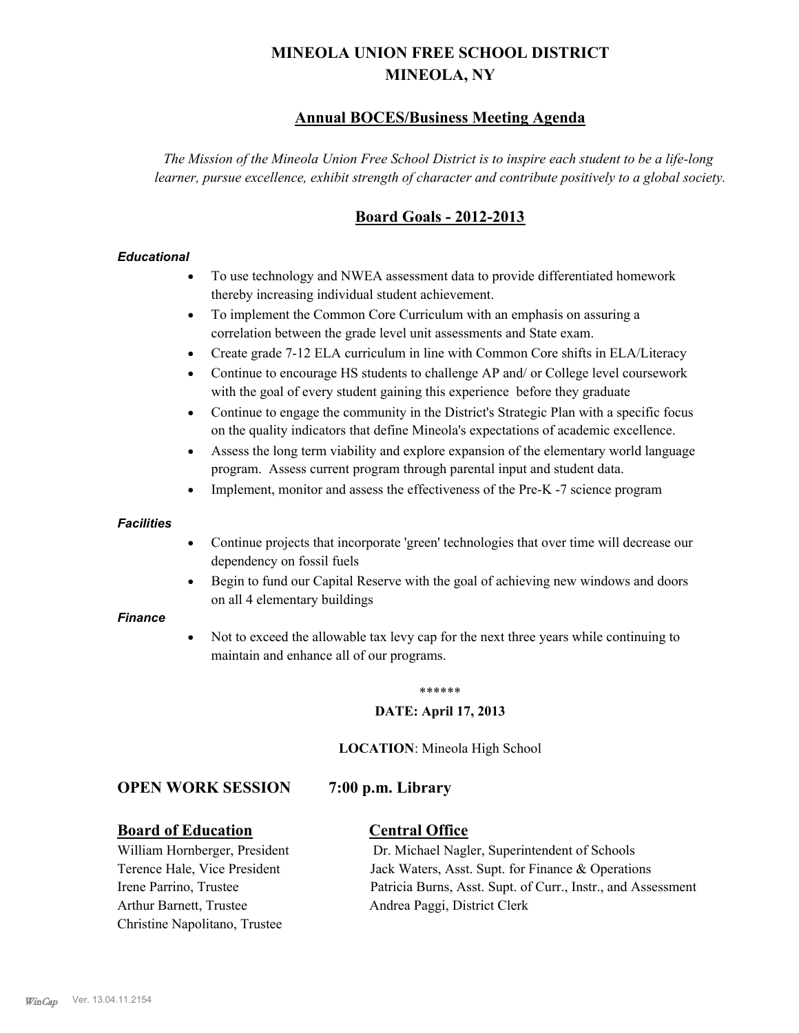# **MINEOLA UNION FREE SCHOOL DISTRICT MINEOLA, NY**

# **Annual BOCES/Business Meeting Agenda**

*The Mission of the Mineola Union Free School District is to inspire each student to be a life-long learner, pursue excellence, exhibit strength of character and contribute positively to a global society.*

# **Board Goals - 2012-2013**

### *Educational*

- · To use technology and NWEA assessment data to provide differentiated homework thereby increasing individual student achievement.
- · To implement the Common Core Curriculum with an emphasis on assuring a correlation between the grade level unit assessments and State exam.
- Create grade 7-12 ELA curriculum in line with Common Core shifts in ELA/Literacy
- Continue to encourage HS students to challenge AP and/ or College level coursework with the goal of every student gaining this experience before they graduate
- · Continue to engage the community in the District's Strategic Plan with a specific focus on the quality indicators that define Mineola's expectations of academic excellence.
- Assess the long term viability and explore expansion of the elementary world language program. Assess current program through parental input and student data.
- Implement, monitor and assess the effectiveness of the Pre-K -7 science program

### *Facilities*

- · Continue projects that incorporate 'green' technologies that over time will decrease our dependency on fossil fuels
- Begin to fund our Capital Reserve with the goal of achieving new windows and doors on all 4 elementary buildings

### *Finance*

Not to exceed the allowable tax levy cap for the next three years while continuing to maintain and enhance all of our programs.

### \*\*\*\*\*\*

### **DATE: April 17, 2013**

**LOCATION**: Mineola High School

### **OPEN WORK SESSION 7:00 p.m. Library**

### **Board of Education Central Office**

Arthur Barnett, Trustee Andrea Paggi, District Clerk Christine Napolitano, Trustee

William Hornberger, President Dr. Michael Nagler, Superintendent of Schools Terence Hale, Vice President Jack Waters, Asst. Supt. for Finance & Operations Irene Parrino, Trustee Patricia Burns, Asst. Supt. of Curr., Instr., and Assessment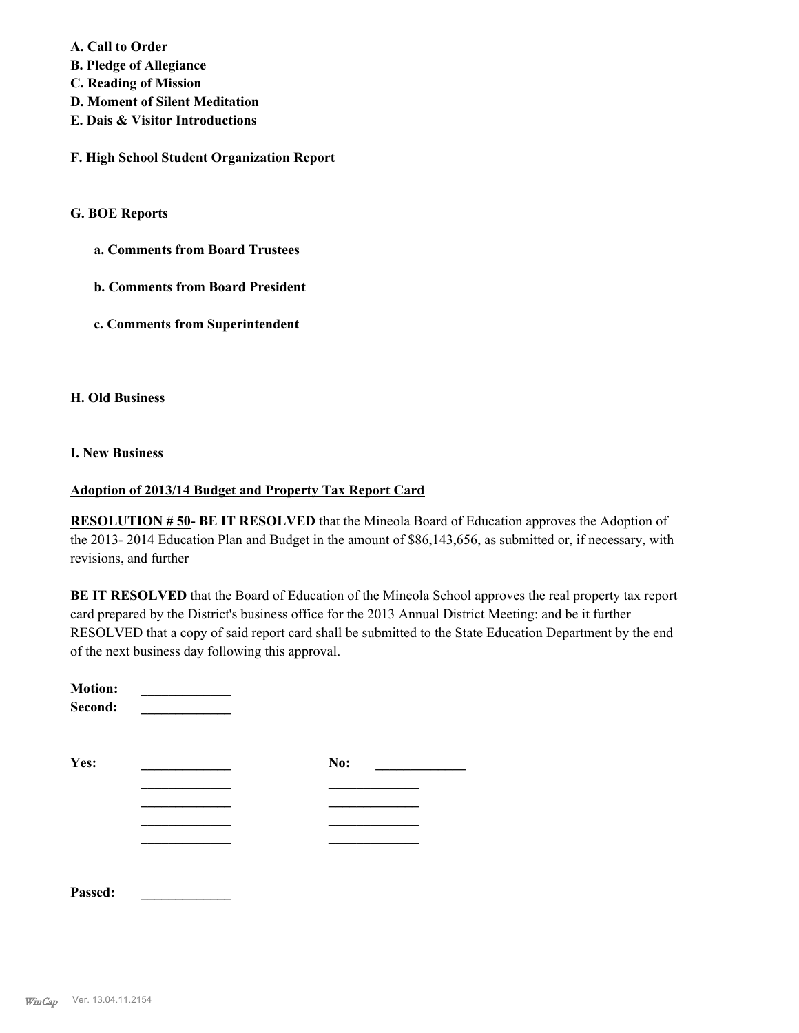**A. Call to Order** 

**B. Pledge of Allegiance**

**C. Reading of Mission**

- **D. Moment of Silent Meditation**
- **E. Dais & Visitor Introductions**

**F. High School Student Organization Report**

### **G. BOE Reports**

- **a. Comments from Board Trustees**
- **b. Comments from Board President**
- **c. Comments from Superintendent**

### **H. Old Business**

### **I. New Business**

### **Adoption of 2013/14 Budget and Property Tax Report Card**

**RESOLUTION # 50- BE IT RESOLVED** that the Mineola Board of Education approves the Adoption of the 2013- 2014 Education Plan and Budget in the amount of \$86,143,656, as submitted or, if necessary, with revisions, and further

**BE IT RESOLVED** that the Board of Education of the Mineola School approves the real property tax report card prepared by the District's business office for the 2013 Annual District Meeting: and be it further RESOLVED that a copy of said report card shall be submitted to the State Education Department by the end of the next business day following this approval.

| <b>Motion:</b><br>Second: |     |
|---------------------------|-----|
| Yes:                      | No: |
|                           |     |
|                           |     |
|                           |     |
|                           |     |

**Passed: \_\_\_\_\_\_\_\_\_\_\_\_\_**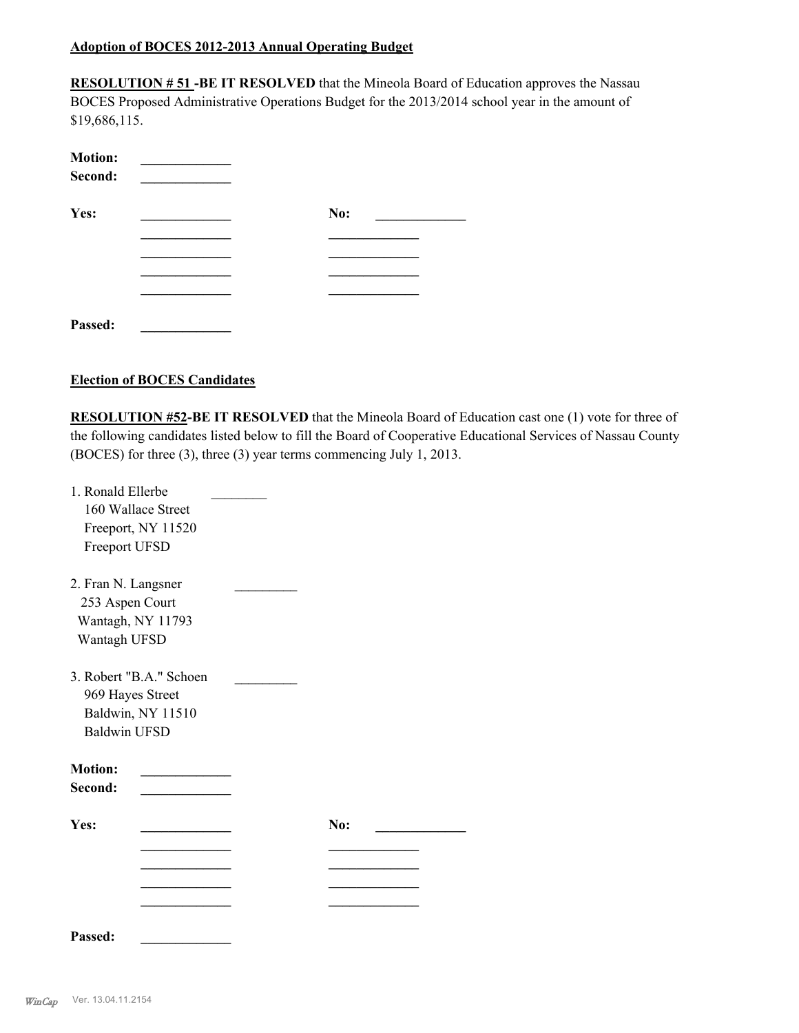### **Adoption of BOCES 2012-2013 Annual Operating Budget**

**RESOLUTION # 51 -BE IT RESOLVED** that the Mineola Board of Education approves the Nassau BOCES Proposed Administrative Operations Budget for the 2013/2014 school year in the amount of \$19,686,115.

| <b>Motion:</b><br>Second: |     |
|---------------------------|-----|
| Yes:                      | No: |
|                           |     |
|                           |     |
|                           |     |
|                           |     |
| Passed:                   |     |

### **Election of BOCES Candidates**

**RESOLUTION #52-BE IT RESOLVED** that the Mineola Board of Education cast one (1) vote for three of the following candidates listed below to fill the Board of Cooperative Educational Services of Nassau County (BOCES) for three (3), three (3) year terms commencing July 1, 2013.

| 1. Ronald Ellerbe<br>Freeport UFSD                                          | 160 Wallace Street<br>Freeport, NY 11520     |            |  |
|-----------------------------------------------------------------------------|----------------------------------------------|------------|--|
| 2. Fran N. Langsner<br>253 Aspen Court<br>Wantagh, NY 11793<br>Wantagh UFSD |                                              |            |  |
| 969 Hayes Street<br><b>Baldwin UFSD</b>                                     | 3. Robert "B.A." Schoen<br>Baldwin, NY 11510 |            |  |
| <b>Motion:</b><br>Second:                                                   |                                              |            |  |
| Yes:                                                                        |                                              | <b>No:</b> |  |
|                                                                             |                                              |            |  |
|                                                                             |                                              |            |  |
|                                                                             |                                              |            |  |
| Passed:                                                                     |                                              |            |  |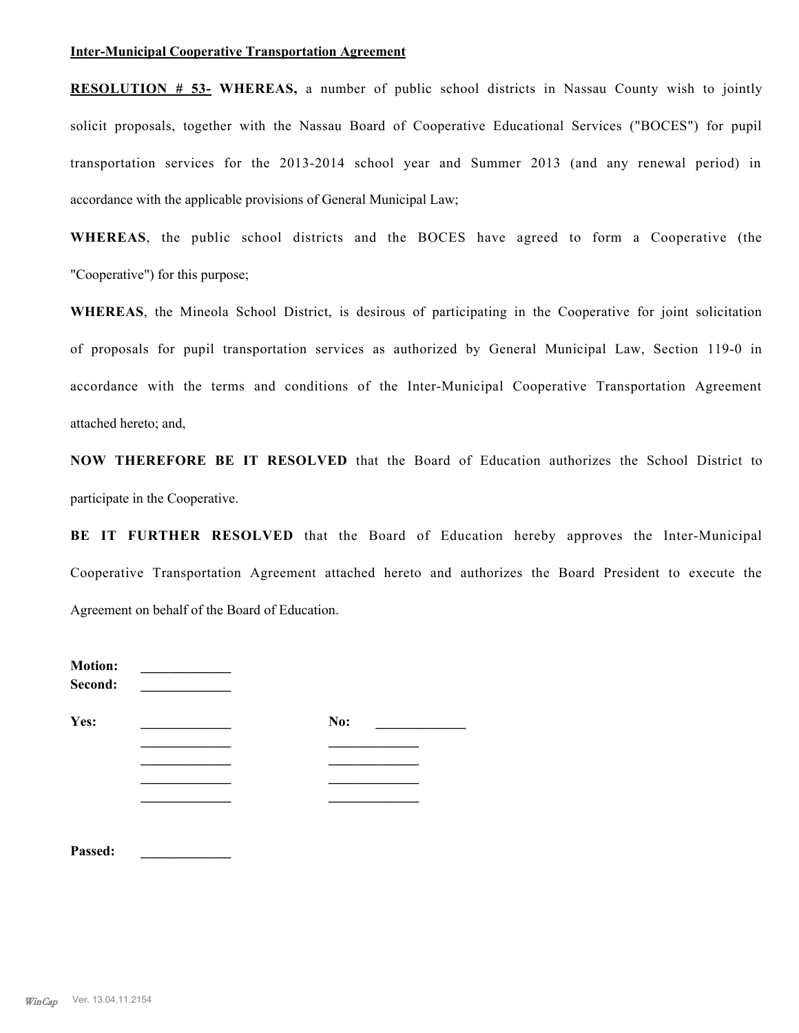### **Inter-Municipal Cooperative Transportation Agreement**

**RESOLUTION # 53- WHEREAS,** a number of public school districts in Nassau County wish to jointly solicit proposals, together with the Nassau Board of Cooperative Educational Services ("BOCES") for pupil transportation services for the 2013-2014 school year and Summer 2013 (and any renewal period) in accordance with the applicable provisions of General Municipal Law;

**WHEREAS**, the public school districts and the BOCES have agreed to form a Cooperative (the "Cooperative") for this purpose;

**WHEREAS**, the Mineola School District, is desirous of participating in the Cooperative for joint solicitation of proposals for pupil transportation services as authorized by General Municipal Law, Section 119-0 in accordance with the terms and conditions of the Inter-Municipal Cooperative Transportation Agreement attached hereto; and,

**NOW THEREFORE BE IT RESOLVED** that the Board of Education authorizes the School District to participate in the Cooperative.

**BE IT FURTHER RESOLVED** that the Board of Education hereby approves the Inter-Municipal Cooperative Transportation Agreement attached hereto and authorizes the Board President to execute the Agreement on behalf of the Board of Education.

| <b>Motion:</b><br>Second: |     |
|---------------------------|-----|
| Yes:                      | No: |
|                           |     |
|                           |     |
|                           |     |
|                           |     |
|                           |     |
| Passed:                   |     |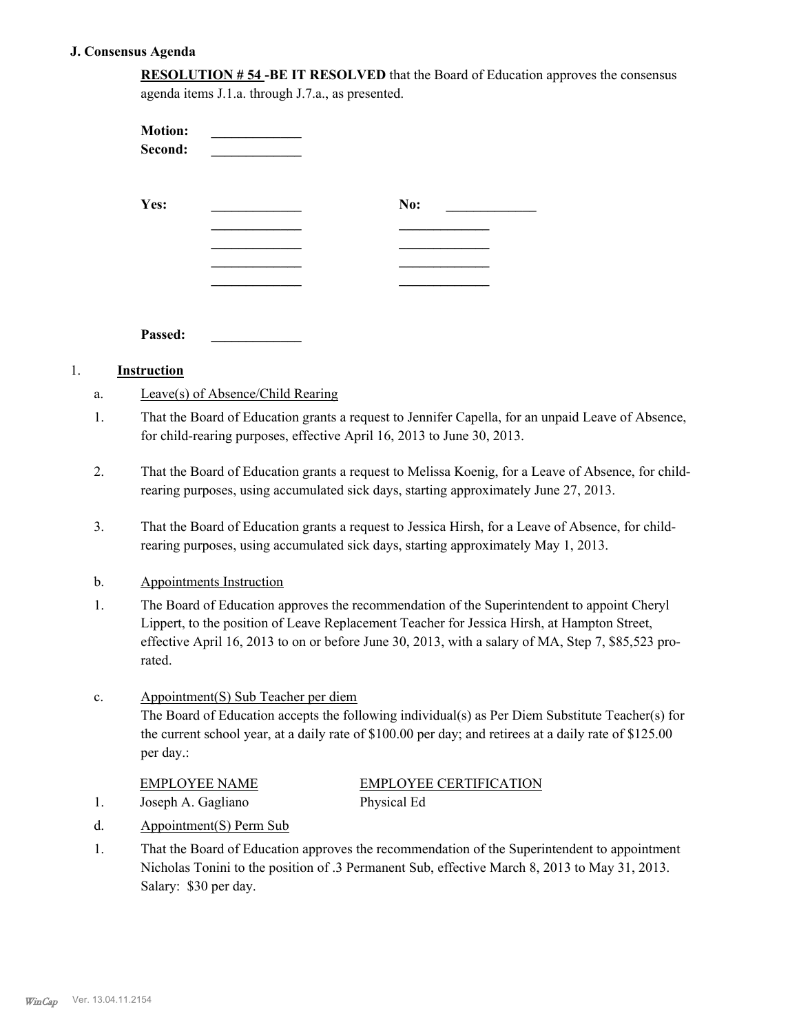### **J. Consensus Agenda**

| <b>RESOLUTION #54 -BE IT RESOLVED</b> that the Board of Education approves the consensus |  |
|------------------------------------------------------------------------------------------|--|
| agenda items J.1.a. through J.7.a., as presented.                                        |  |

| <b>Motion:</b><br>Second: |     |  |
|---------------------------|-----|--|
| Yes:                      | No: |  |
|                           |     |  |
|                           |     |  |
|                           |     |  |
| Passed:                   |     |  |
| $\sim$ $\sim$ $\sim$      |     |  |

### 1. **Instruction**

- a. Leave(s) of Absence/Child Rearing
- That the Board of Education grants a request to Jennifer Capella, for an unpaid Leave of Absence, for child-rearing purposes, effective April 16, 2013 to June 30, 2013. 1.
- That the Board of Education grants a request to Melissa Koenig, for a Leave of Absence, for childrearing purposes, using accumulated sick days, starting approximately June 27, 2013. 2.
- That the Board of Education grants a request to Jessica Hirsh, for a Leave of Absence, for childrearing purposes, using accumulated sick days, starting approximately May 1, 2013. 3.

### b. Appointments Instruction

The Board of Education approves the recommendation of the Superintendent to appoint Cheryl Lippert, to the position of Leave Replacement Teacher for Jessica Hirsh, at Hampton Street, effective April 16, 2013 to on or before June 30, 2013, with a salary of MA, Step 7, \$85,523 prorated. 1.

### Appointment(S) Sub Teacher per diem c.

The Board of Education accepts the following individual(s) as Per Diem Substitute Teacher(s) for the current school year, at a daily rate of \$100.00 per day; and retirees at a daily rate of \$125.00 per day.:

| <b>EMPLOYEE NAME</b> | EMPLOYEE CERTIFICATION |
|----------------------|------------------------|
| Joseph A. Gagliano   | Physical Ed            |

- d. Appointment(S) Perm Sub
- That the Board of Education approves the recommendation of the Superintendent to appointment Nicholas Tonini to the position of .3 Permanent Sub, effective March 8, 2013 to May 31, 2013. Salary: \$30 per day. 1.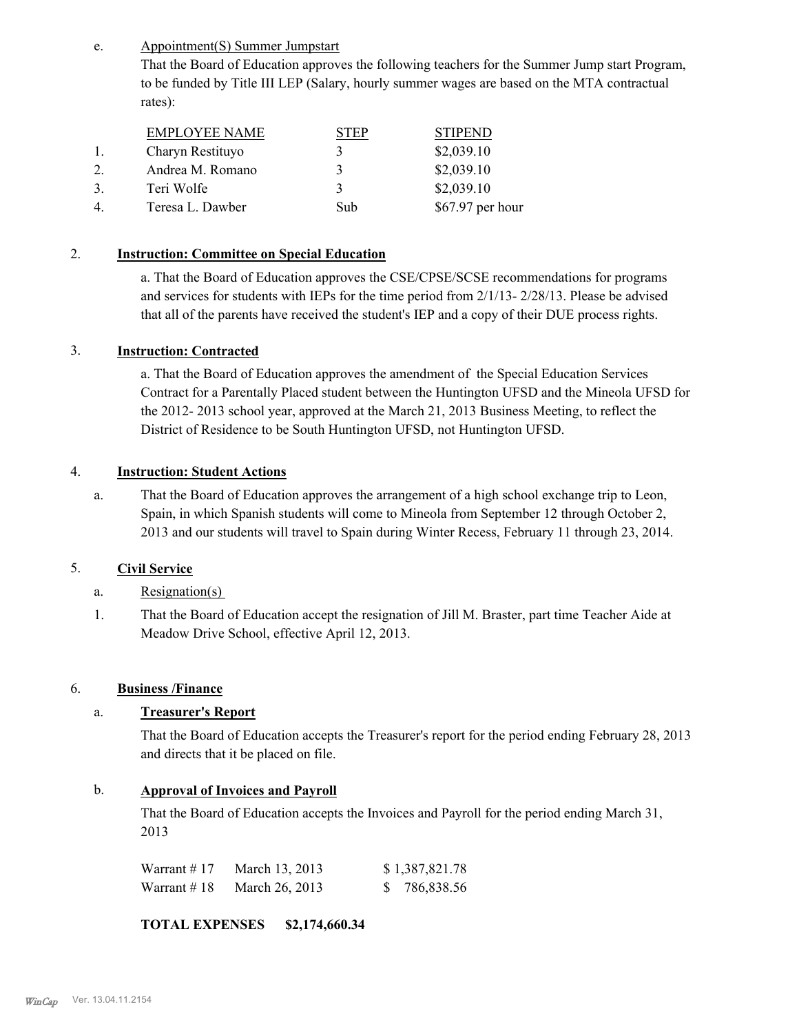Appointment(S) Summer Jumpstart e.

> That the Board of Education approves the following teachers for the Summer Jump start Program, to be funded by Title III LEP (Salary, hourly summer wages are based on the MTA contractual rates):

|    | <b>EMPLOYEE NAME</b> | ГEP | <b>STIPEND</b>    |
|----|----------------------|-----|-------------------|
|    | Charyn Restituyo     |     | \$2,039.10        |
|    | Andrea M. Romano     |     | \$2,039.10        |
| 3. | Teri Wolfe           | 3   | \$2,039.10        |
|    | Teresa L. Dawber     | Sub | $$67.97$ per hour |

### 2. **Instruction: Committee on Special Education**

a. That the Board of Education approves the CSE/CPSE/SCSE recommendations for programs and services for students with IEPs for the time period from 2/1/13- 2/28/13. Please be advised that all of the parents have received the student's IEP and a copy of their DUE process rights.

### 3. **Instruction: Contracted**

a. That the Board of Education approves the amendment of the Special Education Services Contract for a Parentally Placed student between the Huntington UFSD and the Mineola UFSD for the 2012- 2013 school year, approved at the March 21, 2013 Business Meeting, to reflect the District of Residence to be South Huntington UFSD, not Huntington UFSD.

### 4. **Instruction: Student Actions**

That the Board of Education approves the arrangement of a high school exchange trip to Leon, Spain, in which Spanish students will come to Mineola from September 12 through October 2, 2013 and our students will travel to Spain during Winter Recess, February 11 through 23, 2014. a.

### 5. **Civil Service**

- a. Resignation(s)
- That the Board of Education accept the resignation of Jill M. Braster, part time Teacher Aide at Meadow Drive School, effective April 12, 2013. 1.

### 6. **Business /Finance**

## a. **Treasurer's Report**

That the Board of Education accepts the Treasurer's report for the period ending February 28, 2013 and directs that it be placed on file.

### b. **Approval of Invoices and Payroll**

That the Board of Education accepts the Invoices and Payroll for the period ending March 31, 2013

| Warrant # 17 | March 13, 2013 | \$1,387,821.78 |
|--------------|----------------|----------------|
| Warrant # 18 | March 26, 2013 | \$ 786,838.56  |

**TOTAL EXPENSES \$2,174,660.34**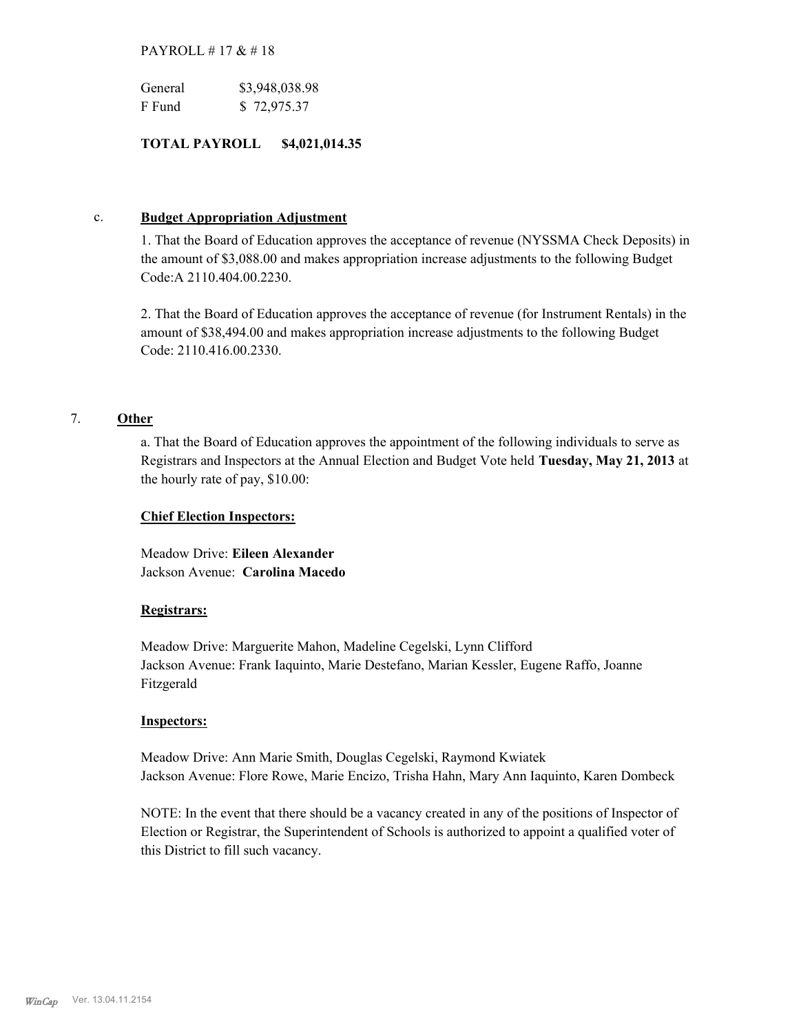### PAYROLL # 17 & # 18

| General | \$3,948,038.98 |
|---------|----------------|
| F Fund  | \$72,975.37    |

### **TOTAL PAYROLL \$4,021,014.35**

### c. **Budget Appropriation Adjustment**

1. That the Board of Education approves the acceptance of revenue (NYSSMA Check Deposits) in the amount of \$3,088.00 and makes appropriation increase adjustments to the following Budget Code:A 2110.404.00.2230.

2. That the Board of Education approves the acceptance of revenue (for Instrument Rentals) in the amount of \$38,494.00 and makes appropriation increase adjustments to the following Budget Code: 2110.416.00.2330.

## 7. **Other**

a. That the Board of Education approves the appointment of the following individuals to serve as Registrars and Inspectors at the Annual Election and Budget Vote held **Tuesday, May 21, 2013** at the hourly rate of pay, \$10.00:

### **Chief Election Inspectors:**

Meadow Drive: **Eileen Alexander**  Jackson Avenue: **Carolina Macedo**

### **Registrars:**

Meadow Drive: Marguerite Mahon, Madeline Cegelski, Lynn Clifford Jackson Avenue: Frank Iaquinto, Marie Destefano, Marian Kessler, Eugene Raffo, Joanne Fitzgerald

### **Inspectors:**

Meadow Drive: Ann Marie Smith, Douglas Cegelski, Raymond Kwiatek Jackson Avenue: Flore Rowe, Marie Encizo, Trisha Hahn, Mary Ann Iaquinto, Karen Dombeck

NOTE: In the event that there should be a vacancy created in any of the positions of Inspector of Election or Registrar, the Superintendent of Schools is authorized to appoint a qualified voter of this District to fill such vacancy.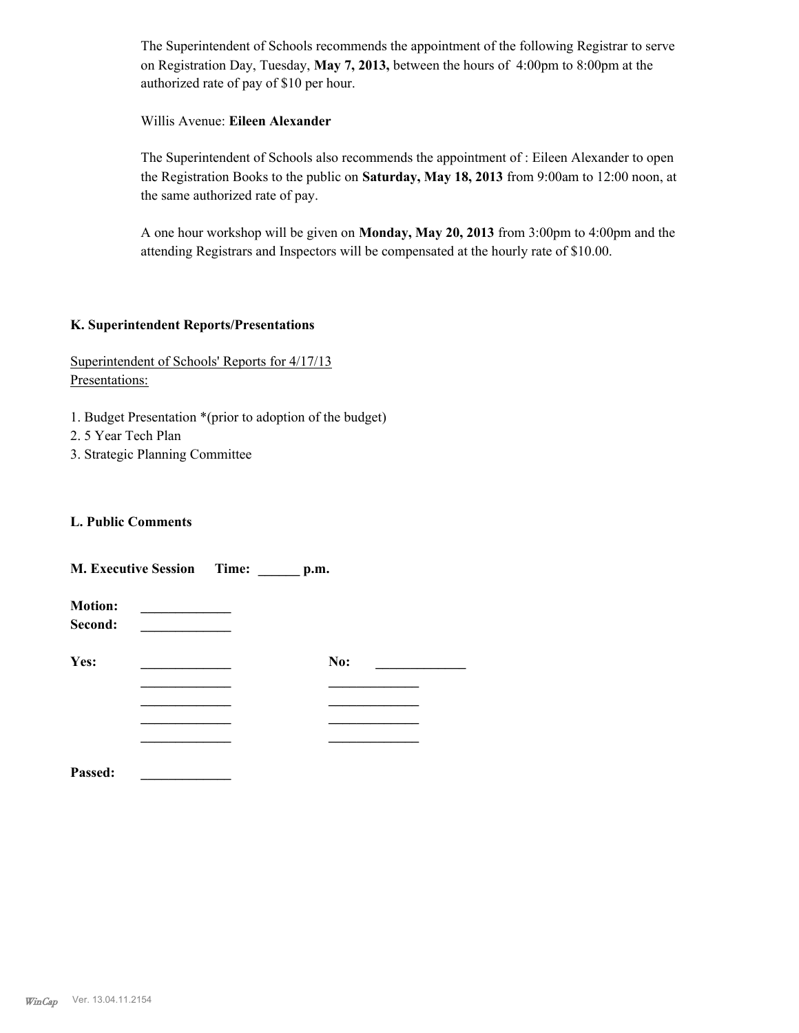The Superintendent of Schools recommends the appointment of the following Registrar to serve on Registration Day, Tuesday, **May 7, 2013,** between the hours of 4:00pm to 8:00pm at the authorized rate of pay of \$10 per hour.

### Willis Avenue: **Eileen Alexander**

The Superintendent of Schools also recommends the appointment of : Eileen Alexander to open the Registration Books to the public on **Saturday, May 18, 2013** from 9:00am to 12:00 noon, at the same authorized rate of pay.

A one hour workshop will be given on **Monday, May 20, 2013** from 3:00pm to 4:00pm and the attending Registrars and Inspectors will be compensated at the hourly rate of \$10.00.

### **K. Superintendent Reports/Presentations**

## Superintendent of Schools' Reports for 4/17/13 Presentations:

- 1. Budget Presentation \*(prior to adoption of the budget)
- 2. 5 Year Tech Plan
- 3. Strategic Planning Committee

### **L. Public Comments**

|                           | <b>M. Executive Session Time:</b> | p.m. |  |
|---------------------------|-----------------------------------|------|--|
| <b>Motion:</b><br>Second: |                                   |      |  |
| Yes:                      |                                   | No:  |  |
|                           |                                   |      |  |
|                           |                                   |      |  |
|                           |                                   |      |  |
|                           |                                   |      |  |
| Passed:                   |                                   |      |  |